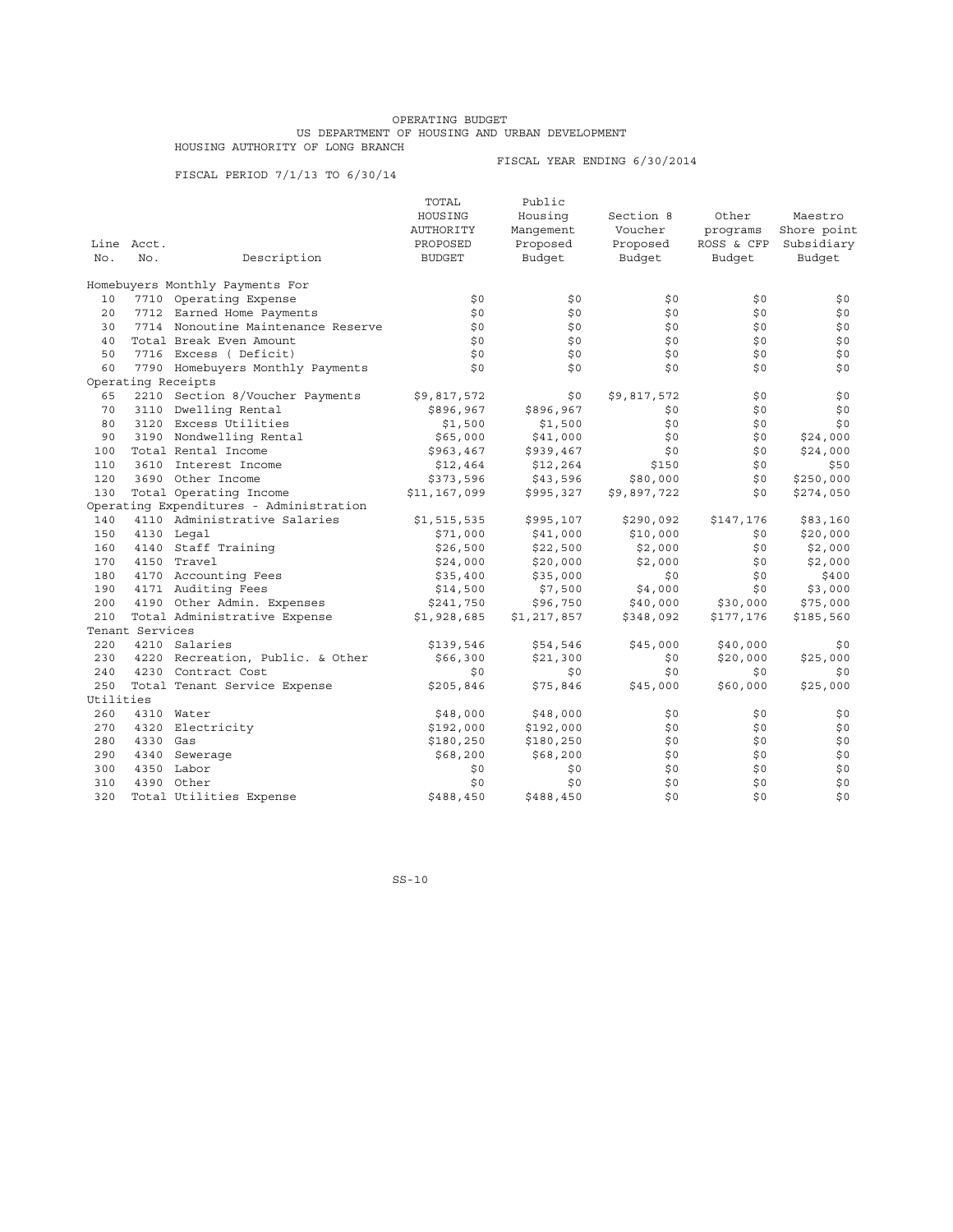## OPERATING BUDGET US DEPARTMENT OF HOUSING AND URBAN DEVELOPMENT HOUSING AUTHORITY OF LONG BRANCH

FISCAL PERIOD 7/1/13 TO 6/30/14

FISCAL YEAR ENDING 6/30/2014

|           |                 |                                         | TOTAL            | Public      |             |            |             |
|-----------|-----------------|-----------------------------------------|------------------|-------------|-------------|------------|-------------|
|           |                 |                                         | HOUSING          | Housing     | Section 8   | Other      | Maestro     |
|           |                 |                                         | <b>AUTHORITY</b> | Manqement   | Voucher     | programs   | Shore point |
|           | Line Acct.      |                                         | PROPOSED         | Proposed    | Proposed    | ROSS & CFP | Subsidiary  |
| No.       | No.             | Description                             | <b>BUDGET</b>    | Budget      | Budget      | Budget     | Budget      |
|           |                 | Homebuyers Monthly Payments For         |                  |             |             |            |             |
| 10        |                 | 7710 Operating Expense                  | \$0              | \$0         | \$0         | \$0        | \$0         |
| 20        |                 | 7712 Earned Home Payments               | \$0              | \$0         | \$0         | \$0        | \$0         |
| 30        |                 | 7714 Nonoutine Maintenance Reserve      | \$0              | \$0         | \$0         | \$0        | \$0         |
| 40        |                 | Total Break Even Amount                 | \$0              | \$0         | \$0         | \$0        | \$0         |
| 50        |                 | 7716 Excess (Deficit)                   | \$0              | \$0         | \$0         | \$0        | \$0         |
| 60        |                 | 7790 Homebuyers Monthly Payments        | \$0              | \$0         | \$0         | \$0        | \$0         |
|           |                 | Operating Receipts                      |                  |             |             |            |             |
| 65        |                 | 2210 Section 8/Voucher Payments         | \$9,817,572      | \$0         | \$9,817,572 | \$0        | \$0         |
| 70        |                 | 3110 Dwelling Rental                    | \$896,967        | \$896,967   | \$0         | \$0        | \$0         |
| 80        |                 | 3120 Excess Utilities                   | \$1,500          | \$1,500     | \$0         | \$0        | \$0         |
| 90        |                 | 3190 Nondwelling Rental                 | \$65,000         | \$41,000    | \$0         | \$0        | \$24,000    |
| 100       |                 | Total Rental Income                     | \$963,467        | \$939,467   | \$0         | \$0        | \$24,000    |
| 110       |                 | 3610 Interest Income                    | \$12,464         | \$12,264    | \$150       | \$0        | \$50        |
| 120       |                 | 3690 Other Income                       | \$373,596        | \$43,596    | \$80,000    | \$0        | \$250,000   |
| 130       |                 | Total Operating Income                  | \$11,167,099     | \$995,327   | \$9,897,722 | \$0        | \$274,050   |
|           |                 | Operating Expenditures - Administration |                  |             |             |            |             |
| 140       |                 | 4110 Administrative Salaries            | \$1,515,535      | \$995,107   | \$290,092   | \$147,176  | \$83,160    |
| 150       |                 | 4130 Legal                              | \$71,000         | \$41,000    | \$10,000    | \$0        | \$20,000    |
| 160       |                 | 4140 Staff Training                     | \$26,500         | \$22,500    | \$2,000     | \$0        | \$2,000     |
| 170       |                 | 4150 Travel                             | \$24,000         | \$20,000    | \$2,000     | \$0        | \$2,000     |
| 180       |                 | 4170 Accounting Fees                    | \$35,400         | \$35,000    | \$0         | \$0        | \$400       |
| 190       |                 | 4171 Auditing Fees                      | \$14,500         | \$7,500     | \$4,000     | \$0        | \$3,000     |
| 200       |                 | 4190 Other Admin. Expenses              | \$241,750        | \$96,750    | \$40,000    | \$30,000   | \$75,000    |
| 210       |                 | Total Administrative Expense            | \$1,928,685      | \$1,217,857 | \$348,092   | \$177,176  | \$185,560   |
|           | Tenant Services |                                         |                  |             |             |            |             |
| 220       |                 | 4210 Salaries                           | \$139,546        | \$54,546    | \$45,000    | \$40,000   | \$0         |
| 230       |                 | 4220 Recreation, Public. & Other        | \$66,300         | \$21,300    | \$0         | \$20,000   | \$25,000    |
| 240       |                 | 4230 Contract Cost                      | \$0              | \$0         | \$0         | \$0        | \$0         |
| 250       |                 | Total Tenant Service Expense            | \$205,846        | \$75,846    | \$45,000    | \$60,000   | \$25,000    |
| Utilities |                 |                                         |                  |             |             |            |             |
| 260       |                 | 4310 Water                              | \$48,000         | \$48,000    | \$0         | \$0        | \$0         |
| 270       |                 | 4320 Electricity                        | \$192,000        | \$192,000   | \$0         | \$0        | \$0         |
| 280       | 4330 Gas        |                                         | \$180,250        | \$180,250   | \$0         | \$0        | \$0         |
| 290       |                 | 4340 Sewerage                           | \$68,200         | \$68,200    | \$0         | \$0        | \$0         |
| 300       |                 | 4350 Labor                              | \$0              | \$0         | \$0         | \$0        | \$0         |
| 310       |                 | 4390 Other                              | \$0              | \$0         | \$0         | \$0        | \$0         |
| 320       |                 | Total Utilities Expense                 | \$488,450        | \$488,450   | \$0         | \$0        | \$0         |
|           |                 |                                         |                  |             |             |            |             |

SS-10